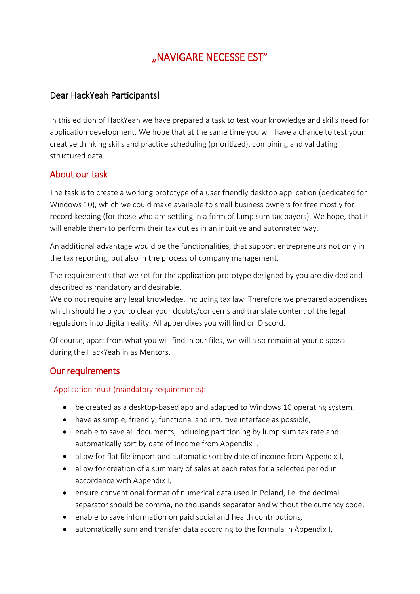# "NAVIGARE NECESSE EST"

### Dear HackYeah Participants!

In this edition of HackYeah we have prepared a task to test your knowledge and skills need for application development. We hope that at the same time you will have a chance to test your creative thinking skills and practice scheduling (prioritized), combining and validating structured data.

## About our task

The task is to create a working prototype of a user friendly desktop application (dedicated for Windows 10), which we could make available to small business owners for free mostly for record keeping (for those who are settling in a form of lump sum tax payers). We hope, that it will enable them to perform their tax duties in an intuitive and automated way.

An additional advantage would be the functionalities, that support entrepreneurs not only in the tax reporting, but also in the process of company management.

The requirements that we set for the application prototype designed by you are divided and described as mandatory and desirable.

We do not require any legal knowledge, including tax law. Therefore we prepared appendixes which should help you to clear your doubts/concerns and translate content of the legal regulations into digital reality. All appendixes you will find on Discord.

Of course, apart from what you will find in our files, we will also remain at your disposal during the HackYeah in as Mentors.

#### Our requirements

I Application must (mandatory requirements):

- be created as a desktop-based app and adapted to Windows 10 operating system,
- have as simple, friendly, functional and intuitive interface as possible,
- enable to save all documents, including partitioning by lump sum tax rate and automatically sort by date of income from Appendix I,
- allow for flat file import and automatic sort by date of income from Appendix I,
- allow for creation of a summary of sales at each rates for a selected period in accordance with Appendix I,
- ensure conventional format of numerical data used in Poland, i.e. the decimal separator should be comma, no thousands separator and without the currency code,
- enable to save information on paid social and health contributions,
- automatically sum and transfer data according to the formula in Appendix I,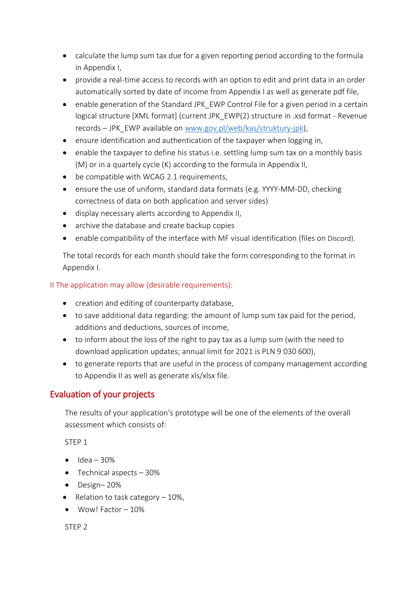- calculate the lump sum tax due for a given reporting period according to the formula in Appendix I,
- provide a real-time access to records with an option to edit and print data in an order automatically sorted by date of income from Appendix I as well as generate pdf file,
- enable generation of the Standard JPK EWP Control File for a given period in a certain logical structure [XML format] (current JPK\_EWP(2) structure in .xsd format - Revenue records – JPK\_EWP available on [www.gov.pl/web/kas/struktury-jpk\)](file:///C:/Users/GQZC/AppData/Local/Microsoft/Windows/INetCache/Content.Outlook/ZFA2NKDW/www.gov.pl/web/kas/struktury-jpk),
- ensure identification and authentication of the taxpayer when logging in,
- enable the taxpayer to define his status i.e. settling lump sum tax on a monthly basis (M) or in a quartely cycle (K) according to the formula in Appendix II,
- be compatible with WCAG 2.1 requirements,
- ensure the use of uniform, standard data formats (e.g. YYYY-MM-DD, checking correctness of data on both application and server sides)
- display necessary alerts according to Appendix II,
- archive the database and create backup copies
- enable compatibility of the interface with MF visual identification (files on Discord).

The total records for each month should take the form corresponding to the format in Appendix I.

#### II The application may allow (desirable requirements):

- creation and editing of counterparty database,
- to save additional data regarding: the amount of lump sum tax paid for the period, additions and deductions, sources of income,
- to inform about the loss of the right to pay tax as a lump sum (with the need to download application updates; annual limit for 2021 is PLN 9 030 600),
- to generate reports that are useful in the process of company management according to Appendix II as well as generate xls/xlsx file.

# Evaluation of your projects

The results of your application's prototype will be one of the elements of the overall assessment which consists of:

STEP 1

- $\bullet$  Idea 30%
- $\bullet$  Technical aspects  $-30\%$
- $\bullet$  Design–20%
- Relation to task category  $-10\%$ ,
- $\bullet$  Wow! Factor  $-10\%$

STEP 2